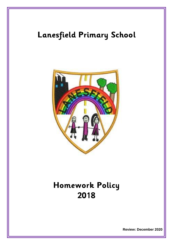# **Lanesfield Primary School**



## **Homework Policy 2018**

**Review: December 2020**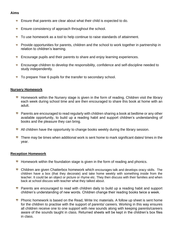## **Aims**

- **Ensure that parents are clear about what their child is expected to do.**
- **Ensure consistency of approach throughout the school.**
- To use homework as a tool to help continue to raise standards of attainment.
- **Provide opportunities for parents, children and the school to work together in partnership in** relation to children's learning.
- **Encourage pupils and their parents to share and enjoy learning experiences.**
- **Encourage children to develop the responsibility, confidence and self-discipline needed to** study independently.
- To prepare Year 6 pupils for the transfer to secondary school.

#### **Nursery Homework**

- **Homework within the Nursery stage is given in the form of reading. Children visit the library** each week during school time and are then encouraged to share this book at home with an adult.
- **Parents are encouraged to read regularly with children sharing a book at bedtime or any other** available opportunity, to build up a reading habit and support children's understanding of books and the pleasure they can bring.
- All children have the opportunity to change books weekly during the library session.
- There may be times when additional work is sent home to mark significant dates/ times in the year.

#### **Reception Homework**

- **Homework within the foundation stage is given in the form of reading and phonics.**
- Children are given Chatterbox homework which encourages talk and develops oracy skills. The children have a box (that they decorate) and take home weekly with something inside from the teacher. It could be an object or picture or rhyme etc. They then discuss with their families and when back at school discuss with teacher what they talked about.
- Parents are encouraged to read with children daily to build up a reading habit and support children's understanding of new words. Children change their reading books twice a week.
- **Phonic homework is based on the Read, Write Inc materials. A follow up sheet is sent home** for the children to practise with the support of parents/ careers. Working in this way ensures all children receive one to one support with new sounds along with keeping parents/careers aware of the sounds taught in class. Returned sheets will be kept in the children's box files in class.